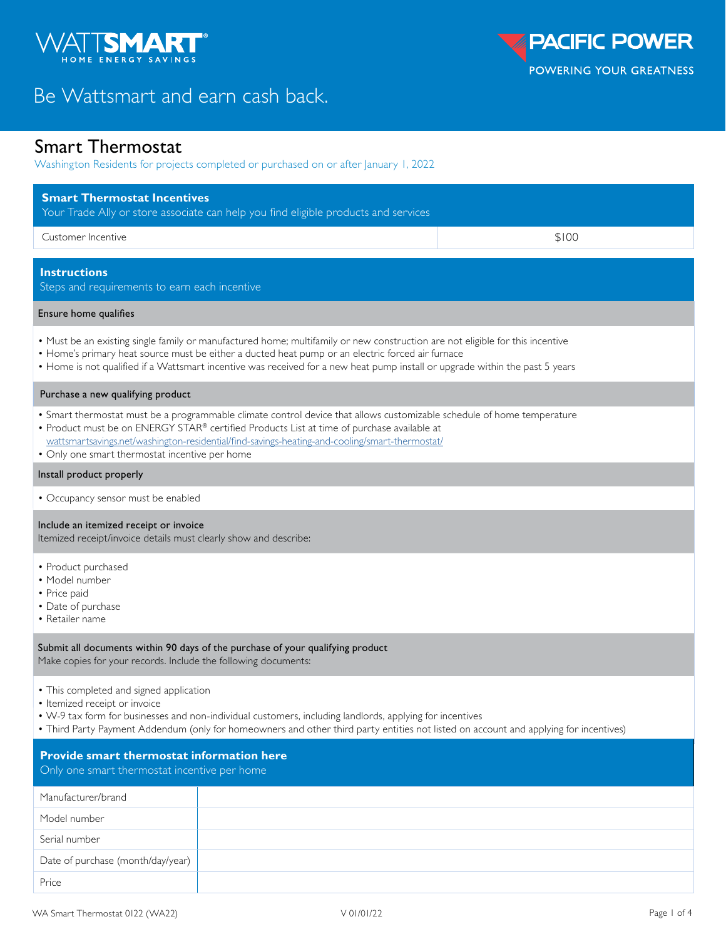

# Be Wattsmart and earn cash back.

## Smart Thermostat

Washington Residents for projects completed or purchased on or after January 1, 2022

| <b>Smart Thermostat Incentives</b>                                                                                                                                                                                                                                                                                                                                       | Your Trade Ally or store associate can help you find eligible products and services                                                                                                                                                               |       |  |  |
|--------------------------------------------------------------------------------------------------------------------------------------------------------------------------------------------------------------------------------------------------------------------------------------------------------------------------------------------------------------------------|---------------------------------------------------------------------------------------------------------------------------------------------------------------------------------------------------------------------------------------------------|-------|--|--|
| Customer Incentive                                                                                                                                                                                                                                                                                                                                                       |                                                                                                                                                                                                                                                   | \$100 |  |  |
| <b>Instructions</b><br>Steps and requirements to earn each incentive                                                                                                                                                                                                                                                                                                     |                                                                                                                                                                                                                                                   |       |  |  |
| Ensure home qualifies                                                                                                                                                                                                                                                                                                                                                    |                                                                                                                                                                                                                                                   |       |  |  |
| • Must be an existing single family or manufactured home; multifamily or new construction are not eligible for this incentive<br>• Home's primary heat source must be either a ducted heat pump or an electric forced air furnace<br>• Home is not qualified if a Wattsmart incentive was received for a new heat pump install or upgrade within the past 5 years        |                                                                                                                                                                                                                                                   |       |  |  |
| Purchase a new qualifying product                                                                                                                                                                                                                                                                                                                                        |                                                                                                                                                                                                                                                   |       |  |  |
| • Smart thermostat must be a programmable climate control device that allows customizable schedule of home temperature<br>• Product must be on ENERGY STAR® certified Products List at time of purchase available at<br>wattsmartsavings.net/washington-residential/find-savings-heating-and-cooling/smart-thermostat/<br>• Only one smart thermostat incentive per home |                                                                                                                                                                                                                                                   |       |  |  |
| Install product properly                                                                                                                                                                                                                                                                                                                                                 |                                                                                                                                                                                                                                                   |       |  |  |
| • Occupancy sensor must be enabled                                                                                                                                                                                                                                                                                                                                       |                                                                                                                                                                                                                                                   |       |  |  |
| Include an itemized receipt or invoice<br>Itemized receipt/invoice details must clearly show and describe:                                                                                                                                                                                                                                                               |                                                                                                                                                                                                                                                   |       |  |  |
| • Product purchased<br>· Model number<br>• Price paid<br>• Date of purchase<br>• Retailer name                                                                                                                                                                                                                                                                           |                                                                                                                                                                                                                                                   |       |  |  |
| Make copies for your records. Include the following documents:                                                                                                                                                                                                                                                                                                           | Submit all documents within 90 days of the purchase of your qualifying product                                                                                                                                                                    |       |  |  |
| • This completed and signed application<br>• Itemized receipt or invoice                                                                                                                                                                                                                                                                                                 | • W-9 tax form for businesses and non-individual customers, including landlords, applying for incentives<br>. Third Party Payment Addendum (only for homeowners and other third party entities not listed on account and applying for incentives) |       |  |  |
| <b>Provide smart thermostat information here</b><br>Only one smart thermostat incentive per home                                                                                                                                                                                                                                                                         |                                                                                                                                                                                                                                                   |       |  |  |
| Manufacturer/brand                                                                                                                                                                                                                                                                                                                                                       |                                                                                                                                                                                                                                                   |       |  |  |
| Model number                                                                                                                                                                                                                                                                                                                                                             |                                                                                                                                                                                                                                                   |       |  |  |
| Serial number                                                                                                                                                                                                                                                                                                                                                            |                                                                                                                                                                                                                                                   |       |  |  |
| Date of purchase (month/day/year)                                                                                                                                                                                                                                                                                                                                        |                                                                                                                                                                                                                                                   |       |  |  |

Price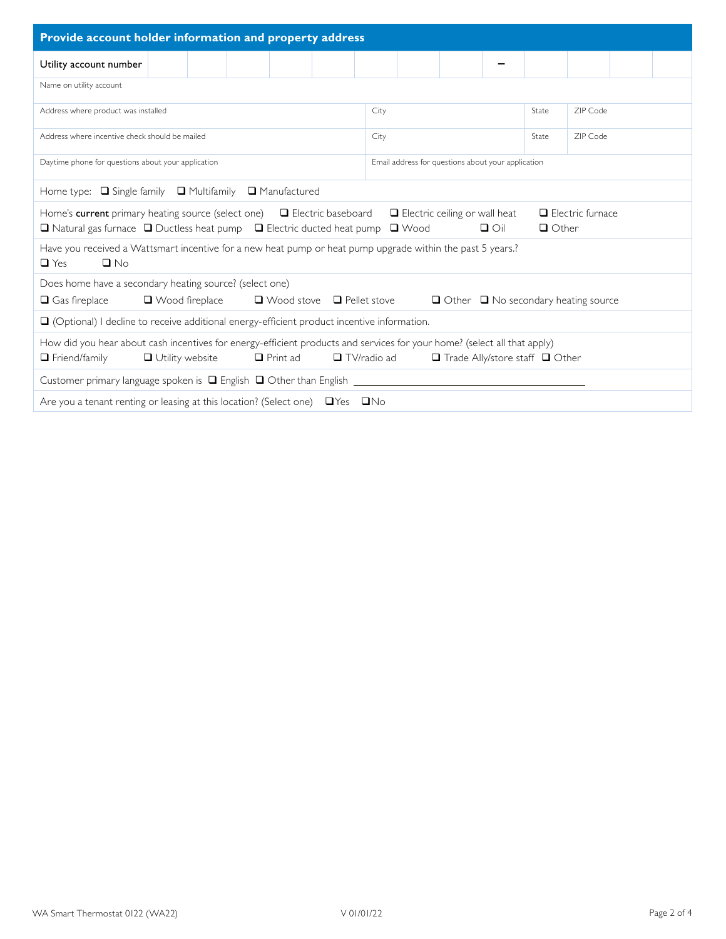| Provide account holder information and property address                                                                                                                                                                                                                                     |                                                    |       |          |  |  |  |
|---------------------------------------------------------------------------------------------------------------------------------------------------------------------------------------------------------------------------------------------------------------------------------------------|----------------------------------------------------|-------|----------|--|--|--|
| Utility account number                                                                                                                                                                                                                                                                      |                                                    |       |          |  |  |  |
| Name on utility account                                                                                                                                                                                                                                                                     |                                                    |       |          |  |  |  |
| Address where product was installed                                                                                                                                                                                                                                                         | City                                               | State | ZIP Code |  |  |  |
| Address where incentive check should be mailed                                                                                                                                                                                                                                              | City                                               | State | ZIP Code |  |  |  |
| Daytime phone for questions about your application                                                                                                                                                                                                                                          | Email address for questions about your application |       |          |  |  |  |
| Home type: <a> G<br/> Single family<br/> <math display="block">\Box</math> <br/> Multifamily<br/> <math display="block">\Box</math> Manufactured</a>                                                                                                                                        |                                                    |       |          |  |  |  |
| Home's current primary heating source (select one) $\Box$ Electric baseboard<br>$\Box$ Electric ceiling or wall heat<br>$\Box$ Electric furnace<br>$\Box$ $\bigcirc$ i<br>$\Box$ Natural gas furnace $\Box$ Ductless heat pump $\Box$ Electric ducted heat pump $\Box$ Wood<br>$\Box$ Other |                                                    |       |          |  |  |  |
| Have you received a Wattsmart incentive for a new heat pump or heat pump upgrade within the past 5 years.?<br>$\Box$ No<br>$\Box$ Yes                                                                                                                                                       |                                                    |       |          |  |  |  |
| Does home have a secondary heating source? (select one)<br>$\Box$ Wood stove $\Box$ Pellet stove<br>$\Box$ Gas fireplace<br>$\Box$ Wood fireplace<br>$\Box$ Other $\Box$ No secondary heating source                                                                                        |                                                    |       |          |  |  |  |
| $\Box$ (Optional) I decline to receive additional energy-efficient product incentive information.                                                                                                                                                                                           |                                                    |       |          |  |  |  |
| How did you hear about cash incentives for energy-efficient products and services for your home? (select all that apply)<br>$\Box$ TV/radio ad<br>$\Box$ Friend/family<br>$\Box$ Utility website<br>$\Box$ Print ad<br>$\Box$ Trade Ally/store staff $\Box$ Other                           |                                                    |       |          |  |  |  |
| Customer primary language spoken is $\Box$ English $\Box$ Other than English $\Box$                                                                                                                                                                                                         |                                                    |       |          |  |  |  |
| Are you a tenant renting or leasing at this location? (Select one) □ Yes □ No                                                                                                                                                                                                               |                                                    |       |          |  |  |  |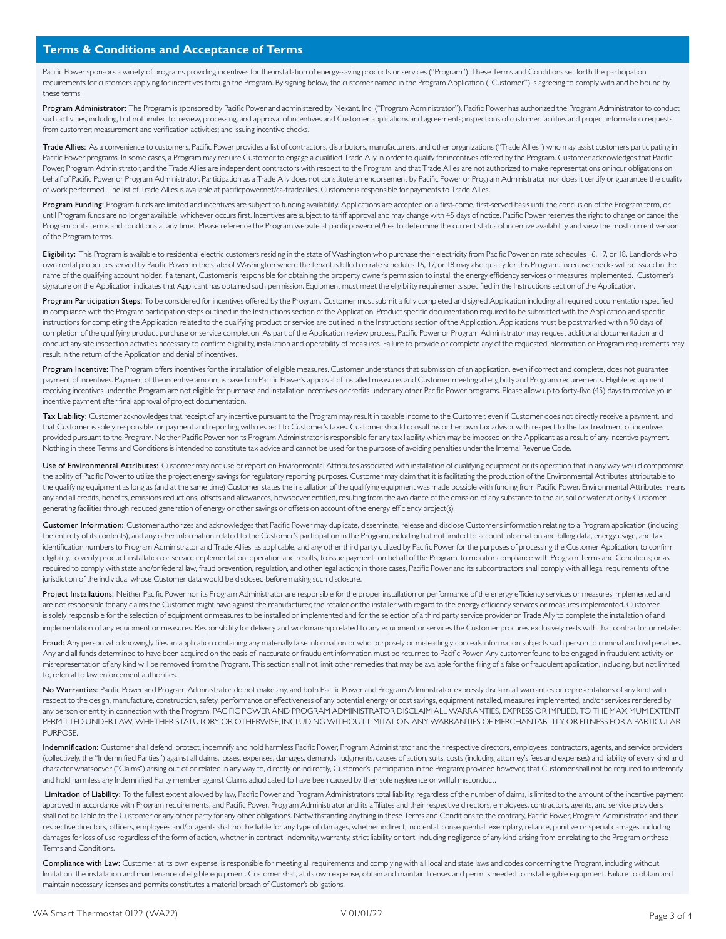Pacific Power sponsors a variety of programs providing incentives for the installation of energy-saving products or services ("Program"). These Terms and Conditions set forth the participation requirements for customers applying for incentives through the Program. By signing below, the customer named in the Program Application ("Customer") is agreeing to comply with and be bound by these terms.

Program Administrator: The Program is sponsored by Pacific Power and administered by Nexant, Inc. ("Program Administrator"). Pacific Power has authorized the Program Administrator to conduct such activities, including, but not limited to, review, processing, and approval of incentives and Customer applications and agreements; inspections of customer facilities and project information requests from customer; measurement and verification activities; and issuing incentive checks.

Trade Allies: As a convenience to customers, Pacific Power provides a list of contractors, distributors, manufacturers, and other organizations ("Trade Allies") who may assist customers participating in Pacific Power programs. In some cases, a Program may require Customer to engage a qualified Trade Ally in order to qualify for incentives offered by the Program. Customer acknowledges that Pacific Power, Program Administrator, and the Trade Allies are independent contractors with respect to the Program, and that Trade Allies are not authorized to make representations or incur obligations on behalf of Pacific Power or Program Administrator. Participation as a Trade Ally does not constitute an endorsement by Pacific Power or Program Administrator, nor does it certify or guarantee the quality of work performed. The list of Trade Allies is available at pacificpower.net/ca-tradeallies. Customer is responsible for payments to Trade Allies.

Program Funding: Program funds are limited and incentives are subject to funding availability. Applications are accepted on a first-come, first-served basis until the conclusion of the Program term, or until Program funds are no longer available, whichever occurs first. Incentives are subject to tariff approval and may change with 45 days of notice. Pacific Power reserves the right to change or cancel the Program or its terms and conditions at any time. Please reference the Program website at pacificpower.net/hes to determine the current status of incentive availability and view the most current version of the Program terms.

Eligibility: This Program is available to residential electric customers residing in the state of Washington who purchase their electricity from Pacific Power on rate schedules 16, 17, or 18. Landlords who own rental properties served by Pacific Power in the state of Washington where the tenant is billed on rate schedules 16, 17, or 18 may also qualify for this Program. Incentive checks will be issued in the name of the qualifying account holder. If a tenant, Customer is responsible for obtaining the property owner's permission to install the energy efficiency services or measures implemented. Customer's signature on the Application indicates that Applicant has obtained such permission. Equipment must meet the eligibility requirements specified in the Instructions section of the Application.

Program Participation Steps: To be considered for incentives offered by the Program, Customer must submit a fully completed and signed Application including all required documentation specified in compliance with the Program participation steps outlined in the Instructions section of the Application. Product specific documentation required to be submitted with the Application and specific instructions for completing the Application related to the qualifying product or service are outlined in the Instructions section of the Application. Applications must be postmarked within 90 days of completion of the qualifying product purchase or service completion. As part of the Application review process, Pacific Power or Program Administrator may request additional documentation and conduct any site inspection activities necessary to confirm eligibility, installation and operability of measures. Failure to provide or complete any of the requested information or Program requirements may result in the return of the Application and denial of incentives.

Program Incentive: The Program offers incentives for the installation of eligible measures. Customer understands that submission of an application, even if correct and complete, does not guarantee payment of incentives. Payment of the incentive amount is based on Pacific Power's approval of installed measures and Customer meeting all eligibility and Program requirements. Eligible equipment receiving incentives under the Program are not eligible for purchase and installation incentives or credits under any other Pacific Power programs. Please allow up to forty-five (45) days to receive your incentive payment after final approval of project documentation.

Tax Liability: Customer acknowledges that receipt of any incentive pursuant to the Program may result in taxable income to the Customer, even if Customer does not directly receive a payment, and that Customer is solely responsible for payment and reporting with respect to Customer's taxes. Customer should consult his or her own tax advisor with respect to the tax treatment of incentives provided pursuant to the Program. Neither Pacific Power nor its Program Administrator is responsible for any tax liability which may be imposed on the Applicant as a result of any incentive payment. Nothing in these Terms and Conditions is intended to constitute tax advice and cannot be used for the purpose of avoiding penalties under the Internal Revenue Code.

Use of Environmental Attributes: Customer may not use or report on Environmental Attributes associated with installation of qualifying equipment or its operation that in any way would compromise the ability of Pacific Power to utilize the project energy savings for regulatory reporting purposes. Customer may claim that it is facilitating the production of the Environmental Attributes attributable to the qualifying equipment as long as (and at the same time) Customer states the installation of the qualifying equipment was made possible with funding from Pacific Power. Environmental Attributes means any and all credits, benefits, emissions reductions, offsets and allowances, howsoever entitled, resulting from the avoidance of the emission of any substance to the air, soil or water at or by Customer generating facilities through reduced generation of energy or other savings or offsets on account of the energy efficiency project(s).

Customer Information: Customer authorizes and acknowledges that Pacific Power may duplicate, disseminate, release and disclose Customer's information relating to a Program application (including the entirety of its contents), and any other information related to the Customer's participation in the Program, including but not limited to account information and billing data, energy usage, and tax identification numbers to Program Administrator and Trade Allies, as applicable, and any other third party utilized by Pacific Power for the purposes of processing the Customer Application, to confirm eligibility, to verify product installation or service implementation, operation and results, to issue payment on behalf of the Program, to monitor compliance with Program Terms and Conditions; or as required to comply with state and/or federal law, fraud prevention, regulation, and other legal action; in those cases, Pacific Power and its subcontractors shall comply with all legal requirements of the jurisdiction of the individual whose Customer data would be disclosed before making such disclosure.

Project Installations: Neither Pacific Power nor its Program Administrator are responsible for the proper installation or performance of the energy efficiency services or measures implemented and are not responsible for any claims the Customer might have against the manufacturer, the retailer or the installer with regard to the energy efficiency services or measures implemented. Customer is solely responsible for the selection of equipment or measures to be installed or implemented and for the selection of a third party service provider or Trade Ally to complete the installation of and

implementation of any equipment or measures. Responsibility for delivery and workmanship related to any equipment or services the Customer procures exclusively rests with that contractor or retailer.

Fraud: Any person who knowingly files an application containing any materially false information or who purposely or misleadingly conceals information subjects such person to criminal and civil penalties. Any and all funds determined to have been acquired on the basis of inaccurate or fraudulent information must be returned to Pacific Power. Any customer found to be engaged in fraudulent activity or misrepresentation of any kind will be removed from the Program. This section shall not limit other remedies that may be available for the filing of a false or fraudulent application, including, but not limited to, referral to law enforcement authorities.

No Warranties: Pacific Power and Program Administrator do not make any, and both Pacific Power and Program Administrator expressly disclaim all warranties or representations of any kind with respect to the design, manufacture, construction, safety, performance or effectiveness of any potential energy or cost savings, equipment installed, measures implemented, and/or services rendered by any person or entity in connection with the Program. PACIFIC POWER AND PROGRAM ADMINISTRATOR DISCLAIM ALL WARRANTIES, EXPRESS OR IMPLIED, TO THE MAXIMUM EXTENT PERMITTED UNDER LAW, WHETHER STATUTORY OR OTHERWISE, INCLUDING WITHOUT LIMITATION ANY WARRANTIES OF MERCHANTABILITY OR FITNESS FOR A PARTICULAR PURPOSE.

Indemnification: Customer shall defend, protect, indemnify and hold harmless Pacific Power, Program Administrator and their respective directors, employees, contractors, agents, and service providers (collectively, the "Indemnified Parties") against all claims, losses, expenses, damages, demands, judgments, causes of action, suits, costs (including attorney's fees and expenses) and liability of every kind and character whatsoever ("Claims") arising out of or related in any way to, directly or indirectly, Customer's participation in the Program; provided however, that Customer shall not be required to indemnify and hold harmless any Indemnified Party member against Claims adjudicated to have been caused by their sole negligence or willful misconduct.

Limitation of Liability: To the fullest extent allowed by law, Pacific Power and Program Administrator's total liability, regardless of the number of claims, is limited to the amount of the incentive payment approved in accordance with Program requirements, and Pacific Power, Program Administrator and its affiliates and their respective directors, employees, contractors, agents, and service providers shall not be liable to the Customer or any other party for any other obligations. Notwithstanding anything in these Terms and Conditions to the contrary, Pacific Power, Program Administrator, and their respective directors, officers, employees and/or agents shall not be liable for any type of damages, whether indirect, incidental, consequential, exemplary, reliance, punitive or special damages, including damages for loss of use regardless of the form of action, whether in contract, indemnity, warranty, strict liability or tort, including negligence of any kind arising from or relating to the Program or these Terms and Conditions.

Compliance with Law: Customer, at its own expense, is responsible for meeting all requirements and complying with all local and state laws and codes concerning the Program, including without limitation, the installation and maintenance of eligible equipment. Customer shall, at its own expense, obtain and maintain licenses and permits needed to install eligible equipment. Failure to obtain and maintain necessary licenses and permits constitutes a material breach of Customer's obligations.